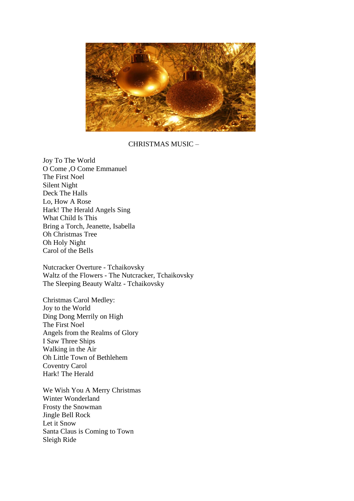

CHRISTMAS MUSIC –

Joy To The World O Come ,O Come Emmanuel The First Noel Silent Night Deck The Halls Lo, How A Rose Hark! The Herald Angels Sing What Child Is This Bring a Torch, Jeanette, Isabella Oh Christmas Tree Oh Holy Night Carol of the Bells

Nutcracker Overture - Tchaikovsky Waltz of the Flowers - The Nutcracker, Tchaikovsky The Sleeping Beauty Waltz - Tchaikovsky

Christmas Carol Medley: Joy to the World Ding Dong Merrily on High The First Noel Angels from the Realms of Glory I Saw Three Ships Walking in the Air Oh Little Town of Bethlehem Coventry Carol Hark! The Herald

We Wish You A Merry Christmas Winter Wonderland Frosty the Snowman Jingle Bell Rock Let it Snow Santa Claus is Coming to Town Sleigh Ride